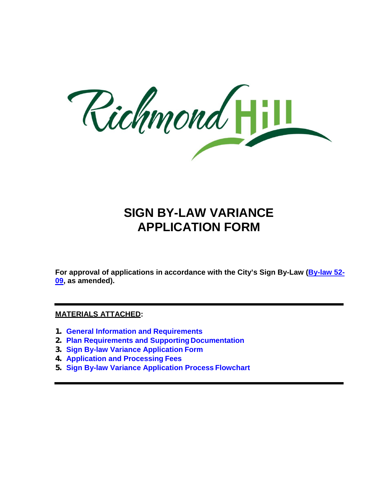Richmond

## **SIGN BY-LAW VARIANCE APPLICATION FORM**

**For approval of applications in accordance with the City's Sign By-Law (By-law 52- 09, as amended).** 

#### **MATERIALS ATTACHED:**

- **1. General Information and Requirements**
- **2. Plan Requirements and Supporting Documentation**
- **3. Sign By-law Variance Application Form**
- **4. Application and Processing Fees**
- **5. Sign By-law Variance Application Process Flowchart**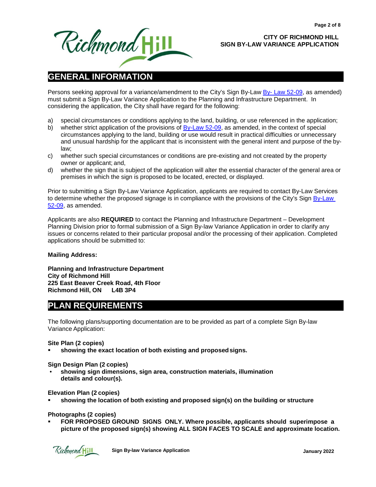

#### **CITY OF RICHMOND HILL SIGN BY-LAW VARIANCE APPLICATION**

## **GENERAL INFORMATION**

Persons seeking approval for a variance/amendment to the City's Sign By-Law By-Law 52-09, as amended) must submit a Sign By-Law Variance Application to the Planning and Infrastructure Department. In considering the application, the City shall have regard for the following:

- a) special circumstances or conditions applying to the land, building, or use referenced in the application;
- b) whether strict application of the provisions of **By-Law 52-09**, as amended, in the context of special circumstances applying to the land, building or use would result in practical difficulties or unnecessary and unusual hardship for the applicant that is inconsistent with the general intent and purpose of the bylaw;
- c) whether such special circumstances or conditions are pre-existing and not created by the property owner or applicant; and,
- d) whether the sign that is subject of the application will alter the essential character of the general area or premises in which the sign is proposed to be located, erected, or displayed.

Prior to submitting a Sign By-Law Variance Application, applicants are required to contact By-Law Services to determine whether the proposed signage is in compliance with the provisions of the City's Sign By-Law 52-09, as amended.

Applicants are also **REQUIRED** to contact the Planning and Infrastructure Department – Development Planning Division prior to formal submission of a Sign By-law Variance Application in order to clarify any issues or concerns related to their particular proposal and/or the processing of their application. Completed applications should be submitted to:

#### **Mailing Address:**

 **Planning and Infrastructure Department City of Richmond Hill 225 East Beaver Creek Road, 4th Floor Richmond Hill, ON L4B 3P4** 

### **PLAN REQUIREMENTS**

The following plans/supporting documentation are to be provided as part of a complete Sign By-law Variance Application:

#### **Site Plan (2 copies)**

**showing the exact location of both existing and proposedsigns.** 

#### **Sign Design Plan (2 copies)**

• **showing sign dimensions, sign area, construction materials, illumination details and colour(s).** 

#### **Elevation Plan (2 copies)**

**showing the location of both existing and proposed sign(s) on the building or structure** 

#### **Photographs (2 copies)**

 **FOR PROPOSED GROUND SIGNS ONLY. Where possible, applicants should superimpose a picture of the proposed sign(s) showing ALL SIGN FACES TO SCALE and approximate location.** 

Richmond Hill

**Sign By-law Variance Application Material Structure of the United Structure 2022 3 January 2022**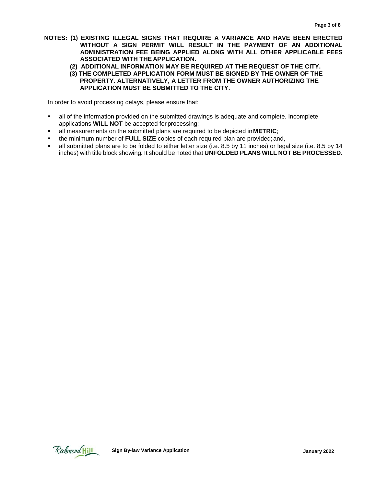- **NOTES: (1) EXISTING ILLEGAL SIGNS THAT REQUIRE A VARIANCE AND HAVE BEEN ERECTED WITHOUT A SIGN PERMIT WILL RESULT IN THE PAYMENT OF AN ADDITIONAL ADMINISTRATION FEE BEING APPLIED ALONG WITH ALL OTHER APPLICABLE FEES ASSOCIATED WITH THE APPLICATION.** 
	- **(2) ADDITIONAL INFORMATION MAY BE REQUIRED AT THE REQUEST OF THE CITY.**
	- **(3) THE COMPLETED APPLICATION FORM MUST BE SIGNED BY THE OWNER OF THE PROPERTY. ALTERNATIVELY, A LETTER FROM THE OWNER AUTHORIZING THE APPLICATION MUST BE SUBMITTED TO THE CITY.**

In order to avoid processing delays, please ensure that:

- all of the information provided on the submitted drawings is adequate and complete. Incomplete applications **WILL NOT** be accepted for processing;
- all measurements on the submitted plans are required to be depicted in **METRIC**;
- the minimum number of **FULL SIZE** copies of each required plan are provided; and,
- all submitted plans are to be folded to either letter size (i.e. 8.5 by 11 inches) or legal size (i.e. 8.5 by 14 inches) with title block showing**.** It should be noted that **UNFOLDED PLANS WILL NOT BE PROCESSED.**

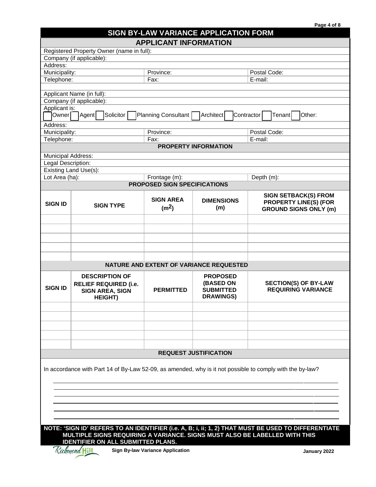| Page 4 of 8 |  |
|-------------|--|
|-------------|--|

# **SIGN BY-LAW VARIANCE APPLICATION FORM**

|                    |                                           | <b>APPLICANT INFORMATION</b> |                                         |                                       |  |
|--------------------|-------------------------------------------|------------------------------|-----------------------------------------|---------------------------------------|--|
|                    | Registered Property Owner (name in full): |                              |                                         |                                       |  |
|                    | Company (if applicable):                  |                              |                                         |                                       |  |
| Address:           |                                           |                              |                                         |                                       |  |
| Municipality:      |                                           | Province:                    |                                         | Postal Code:                          |  |
| Telephone:         |                                           | Fax:                         |                                         | E-mail:                               |  |
|                    |                                           |                              |                                         |                                       |  |
|                    | Applicant Name (in full):                 |                              |                                         |                                       |  |
|                    | Company (if applicable):                  |                              |                                         |                                       |  |
| Applicant is:      |                                           |                              |                                         |                                       |  |
| Owner∏             | ]Agent <br>Solicitor                      | Planning Consultant          | Architect                               | Contractor<br>Other:<br><b>Tenant</b> |  |
| Address:           |                                           |                              |                                         |                                       |  |
|                    | Municipality:<br>Province:                |                              |                                         | Postal Code:                          |  |
| Telephone:         |                                           | Fax:                         |                                         | E-mail:                               |  |
|                    |                                           |                              | <b>PROPERTY INFORMATION</b>             |                                       |  |
| Municipal Address: |                                           |                              |                                         |                                       |  |
| Legal Description: |                                           |                              |                                         |                                       |  |
|                    | Existing Land Use(s):                     |                              |                                         |                                       |  |
| Lot Area (ha):     |                                           | Frontage (m):                |                                         | Depth (m):                            |  |
|                    |                                           | PROPOSED SIGN SPECIFICATIONS |                                         |                                       |  |
|                    |                                           |                              |                                         | <b>SIGN SETBACK(S) FROM</b>           |  |
| <b>SIGN ID</b>     |                                           | <b>SIGN AREA</b>             | <b>DIMENSIONS</b>                       | <b>PROPERTY LINE(S) (FOR</b>          |  |
|                    | <b>SIGN TYPE</b>                          | (m <sup>2</sup> )            | (m)                                     | <b>GROUND SIGNS ONLY (m)</b>          |  |
|                    |                                           |                              |                                         |                                       |  |
|                    |                                           |                              |                                         |                                       |  |
|                    |                                           |                              |                                         |                                       |  |
|                    |                                           |                              |                                         |                                       |  |
|                    |                                           |                              |                                         |                                       |  |
|                    |                                           |                              |                                         |                                       |  |
|                    |                                           |                              | NATURE AND EXTENT OF VARIANCE REQUESTED |                                       |  |
|                    | <b>DESCRIPTION OF</b>                     | <b>PROPOSED</b>              |                                         |                                       |  |
|                    | <b>RELIEF REQUIRED (i.e.</b>              |                              | (BASED ON                               | <b>SECTION(S) OF BY-LAW</b>           |  |
| <b>SIGN ID</b>     | <b>SIGN AREA, SIGN</b>                    | <b>PERMITTED</b>             | <b>SUBMITTED</b>                        | <b>REQUIRING VARIANCE</b>             |  |
|                    | <b>HEIGHT)</b>                            |                              | <b>DRAWINGS)</b>                        |                                       |  |
|                    |                                           |                              |                                         |                                       |  |
|                    |                                           |                              |                                         |                                       |  |
|                    |                                           |                              |                                         |                                       |  |
|                    |                                           |                              |                                         |                                       |  |
|                    |                                           |                              |                                         |                                       |  |
|                    |                                           |                              |                                         |                                       |  |
|                    |                                           |                              | <b>REQUEST JUSTIFICATION</b>            |                                       |  |
|                    |                                           |                              |                                         |                                       |  |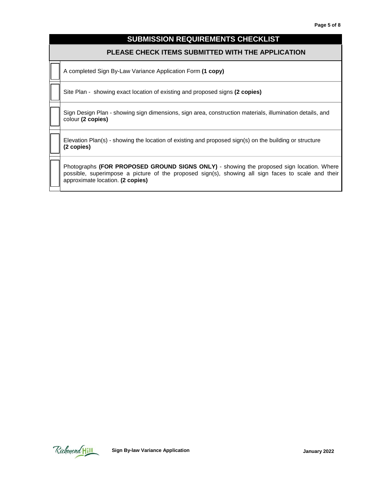#### **SUBMISSION REQUIREMENTS CHECKLIST**

#### **PLEASE CHECK ITEMS SUBMITTED WITH THE APPLICATION**

A completed Sign By-Law Variance Application Form **(1 copy)** 

Site Plan - showing exact location of existing and proposed signs **(2 copies)** 

Sign Design Plan - showing sign dimensions, sign area, construction materials, illumination details, and colour **(2 copies)** 

Elevation Plan(s) - showing the location of existing and proposed sign(s) on the building or structure **(2 copies)** 

Photographs **(FOR PROPOSED GROUND SIGNS ONLY)** - showing the proposed sign location. Where possible, superimpose a picture of the proposed sign(s), showing all sign faces to scale and their approximate location. **(2 copies)** 

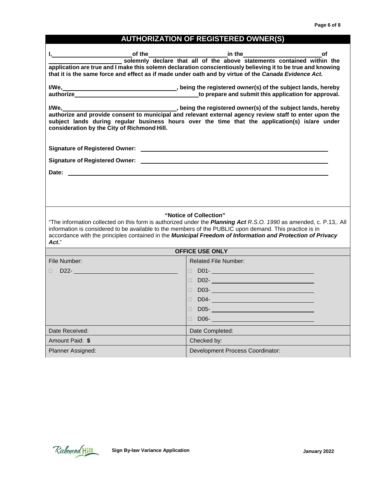## **AUTHORIZATION OF REGISTERED OWNER(S)**

| $\mathsf{I}, \underline{\hspace{1cm}}$<br>of the                                                                                                                                                                                         | $\frac{1}{2}$ in the $\frac{1}{2}$ in the $\frac{1}{2}$<br>οf<br>solemnly declare that all of the above statements contained within the<br>application are true and I make this solemn declaration conscientiously believing it to be true and knowing<br>that it is the same force and effect as if made under oath and by virtue of the Canada Evidence Act.        |
|------------------------------------------------------------------------------------------------------------------------------------------------------------------------------------------------------------------------------------------|-----------------------------------------------------------------------------------------------------------------------------------------------------------------------------------------------------------------------------------------------------------------------------------------------------------------------------------------------------------------------|
|                                                                                                                                                                                                                                          | I/We, Moreover 2012, being the registered owner(s) of the subject lands, hereby                                                                                                                                                                                                                                                                                       |
| I/We,<br>consideration by the City of Richmond Hill.                                                                                                                                                                                     | being the registered owner(s) of the subject lands, hereby<br>authorize and provide consent to municipal and relevant external agency review staff to enter upon the<br>subject lands during regular business hours over the time that the application(s) is/are under                                                                                                |
|                                                                                                                                                                                                                                          |                                                                                                                                                                                                                                                                                                                                                                       |
| Signature of Registered Owner: Law and Contract the Contract of Registered Owner: Law and Contract of Register                                                                                                                           |                                                                                                                                                                                                                                                                                                                                                                       |
|                                                                                                                                                                                                                                          |                                                                                                                                                                                                                                                                                                                                                                       |
|                                                                                                                                                                                                                                          |                                                                                                                                                                                                                                                                                                                                                                       |
| Act."                                                                                                                                                                                                                                    | "Notice of Collection"<br>"The information collected on this form is authorized under the Planning Act R.S.O. 1990 as amended, c. P.13,. All<br>information is considered to be available to the members of the PUBLIC upon demand. This practice is in<br>accordance with the principles contained in the Municipal Freedom of Information and Protection of Privacy |
|                                                                                                                                                                                                                                          | <b>OFFICE USE ONLY</b>                                                                                                                                                                                                                                                                                                                                                |
| File Number:                                                                                                                                                                                                                             | Related File Number:                                                                                                                                                                                                                                                                                                                                                  |
| D22-and the contract of the contract of the contract of the contract of the contract of the contract of the contract of the contract of the contract of the contract of the contract of the contract of the contract of the co<br>$\Box$ |                                                                                                                                                                                                                                                                                                                                                                       |
|                                                                                                                                                                                                                                          | $\Box$ D02- $\Box$ D02- $\Box$ D02- $\Box$ D02- $\Box$ D02- $\Box$ D02- $\Box$ D02- $\Box$ D02- $\Box$ D02-                                                                                                                                                                                                                                                           |
|                                                                                                                                                                                                                                          | D03- <b>March 2008</b><br>П                                                                                                                                                                                                                                                                                                                                           |
|                                                                                                                                                                                                                                          | $D04-$<br>$\Box$                                                                                                                                                                                                                                                                                                                                                      |
|                                                                                                                                                                                                                                          | $\Box$                                                                                                                                                                                                                                                                                                                                                                |
| Date Received:                                                                                                                                                                                                                           | Date Completed:                                                                                                                                                                                                                                                                                                                                                       |
| Amount Paid: \$                                                                                                                                                                                                                          | Checked by:                                                                                                                                                                                                                                                                                                                                                           |
| Planner Assigned:                                                                                                                                                                                                                        | Development Process Coordinator:                                                                                                                                                                                                                                                                                                                                      |

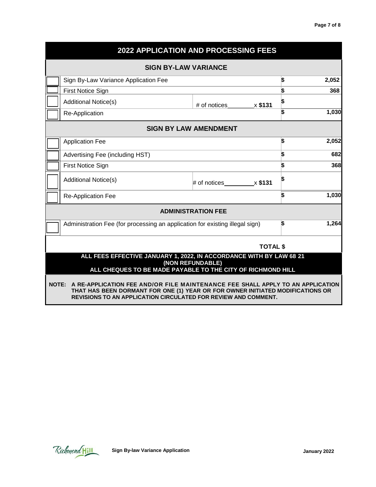|                                                                                                                                                                                                                                                 | 2022 APPLICATION AND PROCESSING FEES |    |       |
|-------------------------------------------------------------------------------------------------------------------------------------------------------------------------------------------------------------------------------------------------|--------------------------------------|----|-------|
| <b>SIGN BY-LAW VARIANCE</b>                                                                                                                                                                                                                     |                                      |    |       |
| Sign By-Law Variance Application Fee                                                                                                                                                                                                            |                                      | \$ | 2,052 |
| <b>First Notice Sign</b>                                                                                                                                                                                                                        |                                      | \$ | 368   |
| <b>Additional Notice(s)</b>                                                                                                                                                                                                                     | # of notices<br>x \$131              | \$ |       |
| Re-Application                                                                                                                                                                                                                                  |                                      | Ŝ. | 1,030 |
| <b>SIGN BY LAW AMENDMENT</b>                                                                                                                                                                                                                    |                                      |    |       |
| <b>Application Fee</b>                                                                                                                                                                                                                          |                                      | \$ | 2,052 |
| Advertising Fee (including HST)                                                                                                                                                                                                                 |                                      | \$ | 682   |
| First Notice Sign                                                                                                                                                                                                                               |                                      | \$ | 368   |
| <b>Additional Notice(s)</b>                                                                                                                                                                                                                     | # of notices $x $131$                | \$ |       |
| <b>Re-Application Fee</b>                                                                                                                                                                                                                       |                                      | \$ | 1,030 |
|                                                                                                                                                                                                                                                 | <b>ADMINISTRATION FEE</b>            |    |       |
| Administration Fee (for processing an application for existing illegal sign)                                                                                                                                                                    |                                      | ß. | 1,264 |
|                                                                                                                                                                                                                                                 | <b>TOTAL \$</b>                      |    |       |
| ALL FEES EFFECTIVE JANUARY 1, 2022, IN ACCORDANCE WITH BY LAW 68 21<br>ALL CHEQUES TO BE MADE PAYABLE TO THE CITY OF RICHMOND HILL                                                                                                              | (NON REFUNDABLE)                     |    |       |
| NOTE: A RE-APPLICATION FEE AND/OR FILE MAINTENANCE FEE SHALL APPLY TO AN APPLICATION<br>THAT HAS BEEN DORMANT FOR ONE (1) YEAR OR FOR OWNER INITIATED MODIFICATIONS OR<br><b>REVISIONS TO AN APPLICATION CIRCULATED FOR REVIEW AND COMMENT.</b> |                                      |    |       |